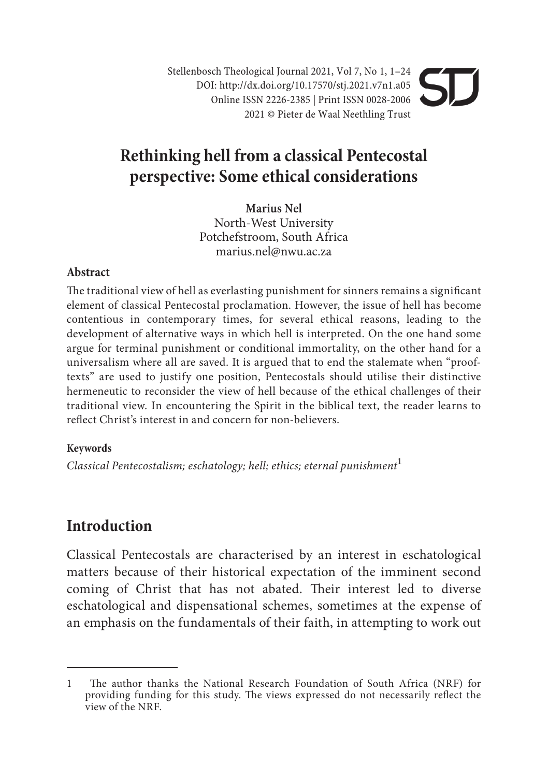Stellenbosch Theological Journal 2021, Vol 7, No 1, 1–24 DOI: http://dx.doi.org/10.17570/stj.2021.v7n1.a05 Online ISSN 2226-2385 | Print ISSN 0028-2006 2021 © Pieter de Waal Neethling Trust

# **Rethinking hell from a classical Pentecostal perspective: Some ethical considerations**

**Marius Nel** North-West University Potchefstroom, South Africa marius.nel@nwu.ac.za

#### **Abstract**

The traditional view of hell as everlasting punishment for sinners remains a significant element of classical Pentecostal proclamation. However, the issue of hell has become contentious in contemporary times, for several ethical reasons, leading to the development of alternative ways in which hell is interpreted. On the one hand some argue for terminal punishment or conditional immortality, on the other hand for a universalism where all are saved. It is argued that to end the stalemate when "prooftexts" are used to justify one position, Pentecostals should utilise their distinctive hermeneutic to reconsider the view of hell because of the ethical challenges of their traditional view. In encountering the Spirit in the biblical text, the reader learns to reflect Christ's interest in and concern for non-believers.

#### **Keywords**

*Classical Pentecostalism; eschatology; hell; ethics; eternal punishment*<sup>1</sup>

# **Introduction**

Classical Pentecostals are characterised by an interest in eschatological matters because of their historical expectation of the imminent second coming of Christ that has not abated. Their interest led to diverse eschatological and dispensational schemes, sometimes at the expense of an emphasis on the fundamentals of their faith, in attempting to work out

<sup>1</sup> The author thanks the National Research Foundation of South Africa (NRF) for providing funding for this study. The views expressed do not necessarily reflect the view of the NRF.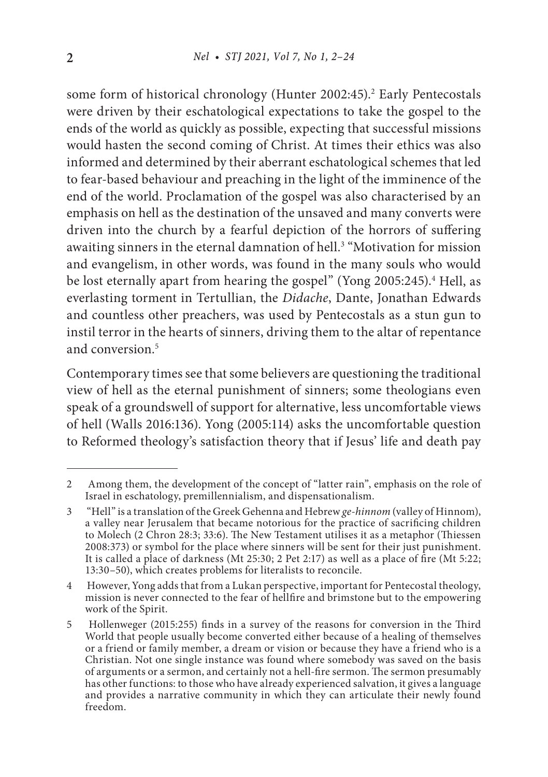some form of historical chronology (Hunter 2002:45).<sup>2</sup> Early Pentecostals were driven by their eschatological expectations to take the gospel to the ends of the world as quickly as possible, expecting that successful missions would hasten the second coming of Christ. At times their ethics was also informed and determined by their aberrant eschatological schemes that led to fear-based behaviour and preaching in the light of the imminence of the end of the world. Proclamation of the gospel was also characterised by an emphasis on hell as the destination of the unsaved and many converts were driven into the church by a fearful depiction of the horrors of suffering awaiting sinners in the eternal damnation of hell.<sup>3</sup> "Motivation for mission and evangelism, in other words, was found in the many souls who would be lost eternally apart from hearing the gospel" (Yong 2005:245).4 Hell, as everlasting torment in Tertullian, the *Didache*, Dante, Jonathan Edwards and countless other preachers, was used by Pentecostals as a stun gun to instil terror in the hearts of sinners, driving them to the altar of repentance and conversion $5$ 

Contemporary times see that some believers are questioning the traditional view of hell as the eternal punishment of sinners; some theologians even speak of a groundswell of support for alternative, less uncomfortable views of hell (Walls 2016:136). Yong (2005:114) asks the uncomfortable question to Reformed theology's satisfaction theory that if Jesus' life and death pay

4 However, Yong adds that from a Lukan perspective, important for Pentecostal theology, mission is never connected to the fear of hellfire and brimstone but to the empowering work of the Spirit.

<sup>2</sup> Among them, the development of the concept of "latter rain", emphasis on the role of Israel in eschatology, premillennialism, and dispensationalism.

<sup>3 &</sup>quot;Hell" is a translation of the Greek Gehenna and Hebrew *ge-hinnom* (valley of Hinnom), a valley near Jerusalem that became notorious for the practice of sacrificing children to Molech (2 Chron 28:3; 33:6). The New Testament utilises it as a metaphor (Thiessen 2008:373) or symbol for the place where sinners will be sent for their just punishment. It is called a place of darkness (Mt 25:30; 2 Pet 2:17) as well as a place of fire (Mt 5:22; 13:30–50), which creates problems for literalists to reconcile.

<sup>5</sup> Hollenweger (2015:255) finds in a survey of the reasons for conversion in the Third World that people usually become converted either because of a healing of themselves or a friend or family member, a dream or vision or because they have a friend who is a Christian. Not one single instance was found where somebody was saved on the basis of arguments or a sermon, and certainly not a hell-fire sermon. The sermon presumably has other functions: to those who have already experienced salvation, it gives a language and provides a narrative community in which they can articulate their newly found freedom.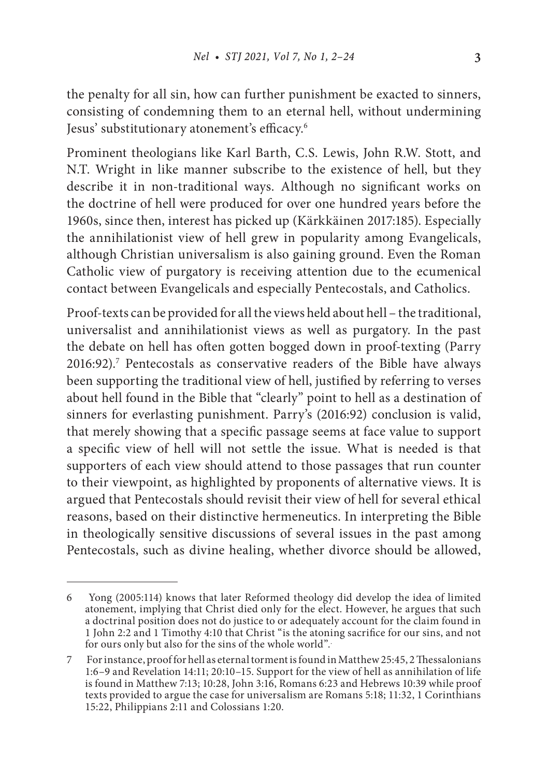the penalty for all sin, how can further punishment be exacted to sinners, consisting of condemning them to an eternal hell, without undermining Jesus' substitutionary atonement's efficacy.<sup>6</sup>

Prominent theologians like Karl Barth, C.S. Lewis, John R.W. Stott, and N.T. Wright in like manner subscribe to the existence of hell, but they describe it in non-traditional ways. Although no signicant works on the doctrine of hell were produced for over one hundred years before the 1960s, since then, interest has picked up (Kärkkäinen 2017:185). Especially the annihilationist view of hell grew in popularity among Evangelicals, although Christian universalism is also gaining ground. Even the Roman Catholic view of purgatory is receiving attention due to the ecumenical contact between Evangelicals and especially Pentecostals, and Catholics.

Proof-texts can be provided for all the views held about hell – the traditional, universalist and annihilationist views as well as purgatory. In the past the debate on hell has often gotten bogged down in proof-texting (Parry 2016:92).7 Pentecostals as conservative readers of the Bible have always been supporting the traditional view of hell, justified by referring to verses about hell found in the Bible that "clearly" point to hell as a destination of sinners for everlasting punishment. Parry's (2016:92) conclusion is valid, that merely showing that a specific passage seems at face value to support a specific view of hell will not settle the issue. What is needed is that supporters of each view should attend to those passages that run counter to their viewpoint, as highlighted by proponents of alternative views. It is argued that Pentecostals should revisit their view of hell for several ethical reasons, based on their distinctive hermeneutics. In interpreting the Bible in theologically sensitive discussions of several issues in the past among Pentecostals, such as divine healing, whether divorce should be allowed,

<sup>6</sup> Yong (2005:114) knows that later Reformed theology did develop the idea of limited atonement, implying that Christ died only for the elect. However, he argues that such a doctrinal position does not do justice to or adequately account for the claim found in 1 John 2:2 and 1 Timothy 4:10 that Christ "is the atoning sacrice for our sins, and not for ours only but also for the sins of the whole world".

 $7$  For instance, proof for hell as eternal torment is found in Matthew 25:45, 2 Thessalonians 1:6–9 and Revelation 14:11; 20:10–15. Support for the view of hell as annihilation of life is found in Matthew 7:13; 10:28, John 3:16, Romans 6:23 and Hebrews 10:39 while proof texts provided to argue the case for universalism are Romans 5:18; 11:32, 1 Corinthians 15:22, Philippians 2:11 and Colossians 1:20.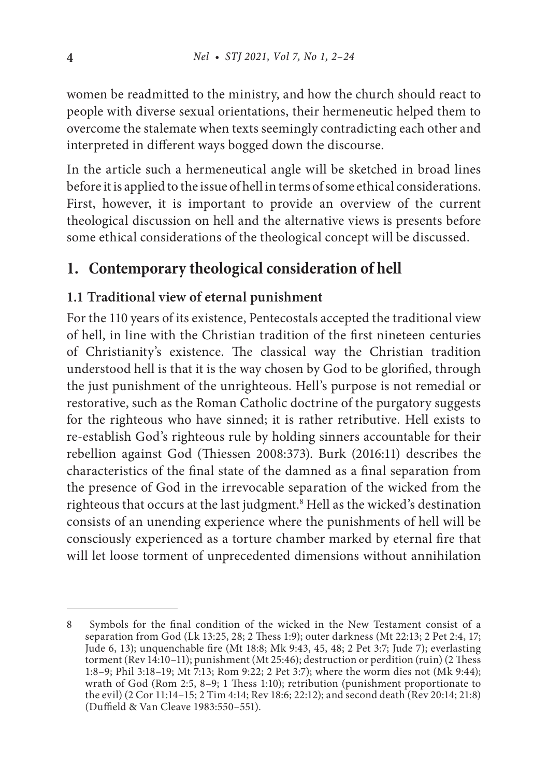women be readmitted to the ministry, and how the church should react to people with diverse sexual orientations, their hermeneutic helped them to overcome the stalemate when texts seemingly contradicting each other and interpreted in different ways bogged down the discourse.

In the article such a hermeneutical angle will be sketched in broad lines before it is applied to the issue of hell in terms of some ethical considerations. First, however, it is important to provide an overview of the current theological discussion on hell and the alternative views is presents before some ethical considerations of the theological concept will be discussed.

# **1. Contemporary theological consideration of hell**

### **1.1 Traditional view of eternal punishment**

For the 110 years of its existence, Pentecostals accepted the traditional view of hell, in line with the Christian tradition of the first nineteen centuries of Christianity's existence. The classical way the Christian tradition understood hell is that it is the way chosen by God to be glorified, through the just punishment of the unrighteous. Hell's purpose is not remedial or restorative, such as the Roman Catholic doctrine of the purgatory suggests for the righteous who have sinned; it is rather retributive. Hell exists to re-establish God's righteous rule by holding sinners accountable for their rebellion against God (Thiessen 2008:373). Burk (2016:11) describes the characteristics of the final state of the damned as a final separation from the presence of God in the irrevocable separation of the wicked from the righteous that occurs at the last judgment.8 Hell as the wicked's destination consists of an unending experience where the punishments of hell will be consciously experienced as a torture chamber marked by eternal fire that will let loose torment of unprecedented dimensions without annihilation

<sup>8</sup> Symbols for the nal condition of the wicked in the New Testament consist of a separation from God (Lk 13:25, 28; 2 Thess 1:9); outer darkness (Mt 22:13; 2 Pet 2:4, 17; Jude 6, 13); unquenchable fire (Mt 18:8; Mk 9:43, 45, 48; 2 Pet 3:7; Jude 7); everlasting torment (Rev  $14:10-11$ ); punishment (Mt 25:46); destruction or perdition (ruin) (2 Thess 1:8–9; Phil 3:18–19; Mt 7:13; Rom 9:22; 2 Pet 3:7); where the worm dies not (Mk 9:44); wrath of God (Rom 2:5, 8-9; 1 Thess 1:10); retribution (punishment proportionate to the evil) (2 Cor 11:14–15; 2 Tim 4:14; Rev 18:6; 22:12); and second death (Rev 20:14; 21:8) (Duffield & Van Cleave 1983:550-551).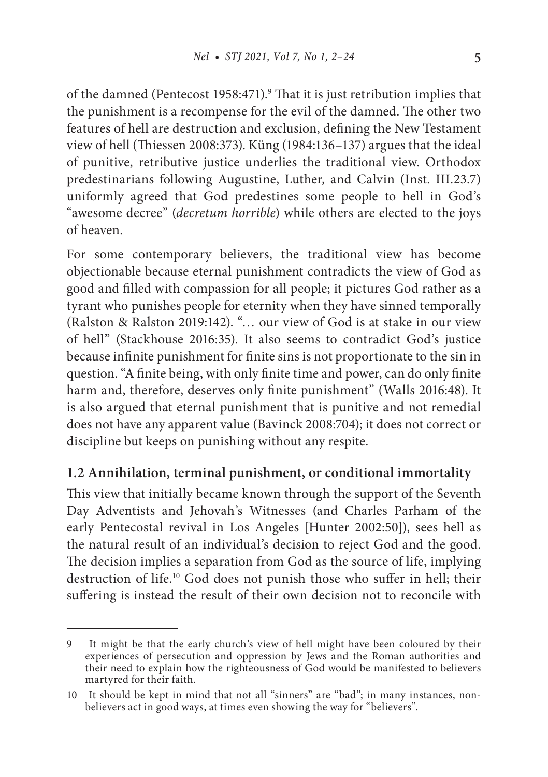of the damned (Pentecost 1958:471).<sup>9</sup> That it is just retribution implies that the punishment is a recompense for the evil of the damned. The other two features of hell are destruction and exclusion, defining the New Testament view of hell (Thiessen 2008:373). Küng (1984:136–137) argues that the ideal of punitive, retributive justice underlies the traditional view. Orthodox predestinarians following Augustine, Luther, and Calvin (Inst. III.23.7) uniformly agreed that God predestines some people to hell in God's "awesome decree" (*decretum horrible*) while others are elected to the joys of heaven.

For some contemporary believers, the traditional view has become objectionable because eternal punishment contradicts the view of God as good and filled with compassion for all people; it pictures God rather as a tyrant who punishes people for eternity when they have sinned temporally (Ralston & Ralston 2019:142). "… our view of God is at stake in our view of hell" (Stackhouse 2016:35). It also seems to contradict God's justice because infinite punishment for finite sins is not proportionate to the sin in question. "A finite being, with only finite time and power, can do only finite harm and, therefore, deserves only finite punishment" (Walls 2016:48). It is also argued that eternal punishment that is punitive and not remedial does not have any apparent value (Bavinck 2008:704); it does not correct or discipline but keeps on punishing without any respite.

#### **1.2 Annihilation, terminal punishment, or conditional immortality**

This view that initially became known through the support of the Seventh Day Adventists and Jehovah's Witnesses (and Charles Parham of the early Pentecostal revival in Los Angeles [Hunter 2002:50]), sees hell as the natural result of an individual's decision to reject God and the good. The decision implies a separation from God as the source of life, implying destruction of life.<sup>10</sup> God does not punish those who suffer in hell; their suffering is instead the result of their own decision not to reconcile with

<sup>9</sup> It might be that the early church's view of hell might have been coloured by their experiences of persecution and oppression by Jews and the Roman authorities and their need to explain how the righteousness of God would be manifested to believers martyred for their faith.

<sup>10</sup> It should be kept in mind that not all "sinners" are "bad"; in many instances, nonbelievers act in good ways, at times even showing the way for "believers".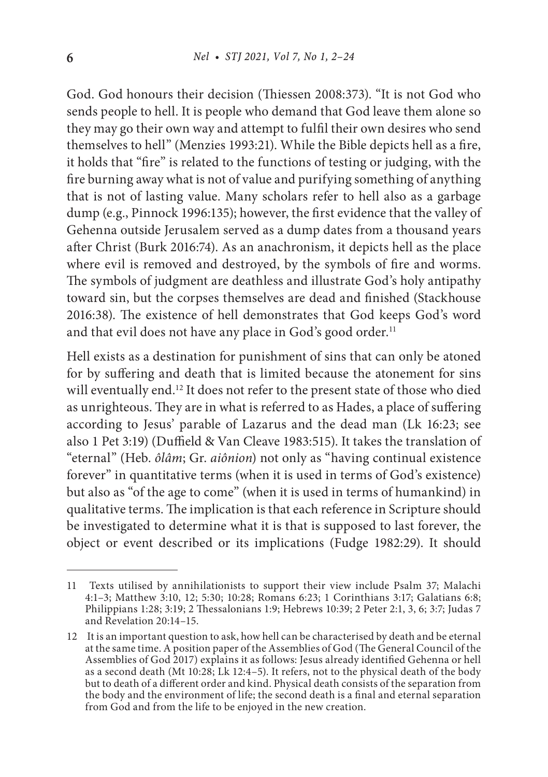God. God honours their decision (Thiessen 2008:373). "It is not God who sends people to hell. It is people who demand that God leave them alone so they may go their own way and attempt to fulfil their own desires who send themselves to hell" (Menzies 1993:21). While the Bible depicts hell as a fire, it holds that "fire" is related to the functions of testing or judging, with the fire burning away what is not of value and purifying something of anything that is not of lasting value. Many scholars refer to hell also as a garbage dump (e.g., Pinnock 1996:135); however, the first evidence that the valley of Gehenna outside Jerusalem served as a dump dates from a thousand years after Christ (Burk 2016:74). As an anachronism, it depicts hell as the place where evil is removed and destroyed, by the symbols of fire and worms. The symbols of judgment are deathless and illustrate God's holy antipathy toward sin, but the corpses themselves are dead and finished (Stackhouse 2016:38). The existence of hell demonstrates that God keeps God's word and that evil does not have any place in God's good order.<sup>11</sup>

Hell exists as a destination for punishment of sins that can only be atoned for by suffering and death that is limited because the atonement for sins will eventually end.12 It does not refer to the present state of those who died as unrighteous. They are in what is referred to as Hades, a place of suffering according to Jesus' parable of Lazarus and the dead man (Lk 16:23; see also 1 Pet 3:19) (Duffield & Van Cleave 1983:515). It takes the translation of "eternal" (Heb. *ôlâm*; Gr. *aiônion*) not only as "having continual existence forever" in quantitative terms (when it is used in terms of God's existence) but also as "of the age to come" (when it is used in terms of humankind) in qualitative terms. The implication is that each reference in Scripture should be investigated to determine what it is that is supposed to last forever, the object or event described or its implications (Fudge 1982:29). It should

<sup>11</sup> Texts utilised by annihilationists to support their view include Psalm 37; Malachi 4:1–3; Matthew 3:10, 12; 5:30; 10:28; Romans 6:23; 1 Corinthians 3:17; Galatians 6:8; Philippians 1:28; 3:19; 2 Thessalonians 1:9; Hebrews 10:39; 2 Peter 2:1, 3, 6; 3:7; Judas 7 and Revelation 20:14–15.

<sup>12</sup> It is an important question to ask, how hell can be characterised by death and be eternal at the same time. A position paper of the Assemblies of God (The General Council of the Assemblies of God 2017) explains it as follows: Jesus already identified Gehenna or hell as a second death (Mt 10:28; Lk 12:4–5). It refers, not to the physical death of the body but to death of a different order and kind. Physical death consists of the separation from the body and the environment of life; the second death is a final and eternal separation from God and from the life to be enjoyed in the new creation.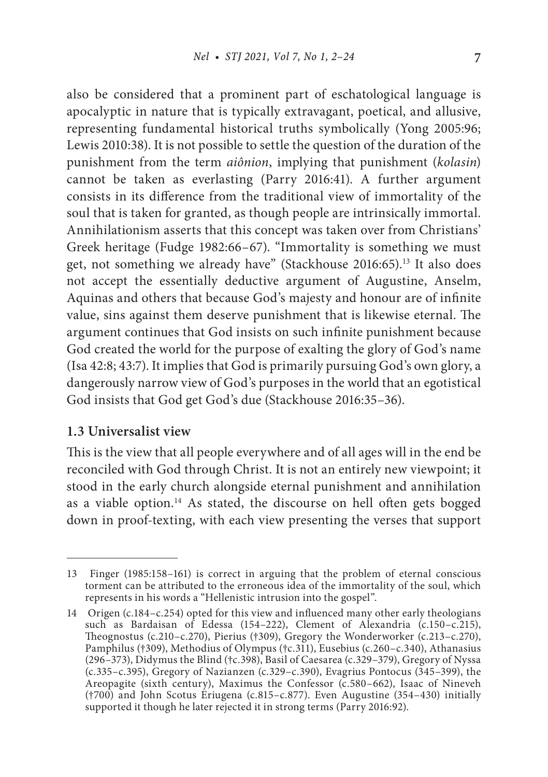also be considered that a prominent part of eschatological language is apocalyptic in nature that is typically extravagant, poetical, and allusive, representing fundamental historical truths symbolically (Yong 2005:96; Lewis 2010:38). It is not possible to settle the question of the duration of the punishment from the term *aiônion*, implying that punishment (*kolasin*) cannot be taken as everlasting (Parry 2016:41). A further argument consists in its difference from the traditional view of immortality of the soul that is taken for granted, as though people are intrinsically immortal. Annihilationism asserts that this concept was taken over from Christians' Greek heritage (Fudge 1982:66–67). "Immortality is something we must get, not something we already have" (Stackhouse 2016:65).13 It also does not accept the essentially deductive argument of Augustine, Anselm, Aquinas and others that because God's majesty and honour are of infinite value, sins against them deserve punishment that is likewise eternal. The argument continues that God insists on such infinite punishment because God created the world for the purpose of exalting the glory of God's name (Isa 42:8; 43:7). It implies that God is primarily pursuing God's own glory, a dangerously narrow view of God's purposes in the world that an egotistical God insists that God get God's due (Stackhouse 2016:35–36).

#### **1.3 Universalist view**

This is the view that all people everywhere and of all ages will in the end be reconciled with God through Christ. It is not an entirely new viewpoint; it stood in the early church alongside eternal punishment and annihilation as a viable option.<sup>14</sup> As stated, the discourse on hell often gets bogged down in proof-texting, with each view presenting the verses that support

<sup>13</sup> Finger (1985:158–161) is correct in arguing that the problem of eternal conscious torment can be attributed to the erroneous idea of the immortality of the soul, which represents in his words a "Hellenistic intrusion into the gospel".

<sup>14</sup> Origen (c.184–c.254) opted for this view and inuenced many other early theologians such as Bardaisan of Edessa (154–222), Clement of Alexandria (c.150–c.215), Theognostus (c.210–c.270), Pierius (†309), Gregory the Wonderworker (c.213–c.270), Pamphilus (†309), Methodius of Olympus (†c.311), Eusebius (c.260–c.340), Athanasius (296–373), Didymus the Blind (†c.398), Basil of Caesarea (c.329–379), Gregory of Nyssa (c.335–c.395), Gregory of Nazianzen (c.329–c.390), Evagrius Pontocus (345–399), the Areopagite (sixth century), Maximus the Confessor (c.580–662), Isaac of Nineveh (†700) and John Scotus Eriugena (c.815–c.877). Even Augustine (354–430) initially supported it though he later rejected it in strong terms (Parry 2016:92).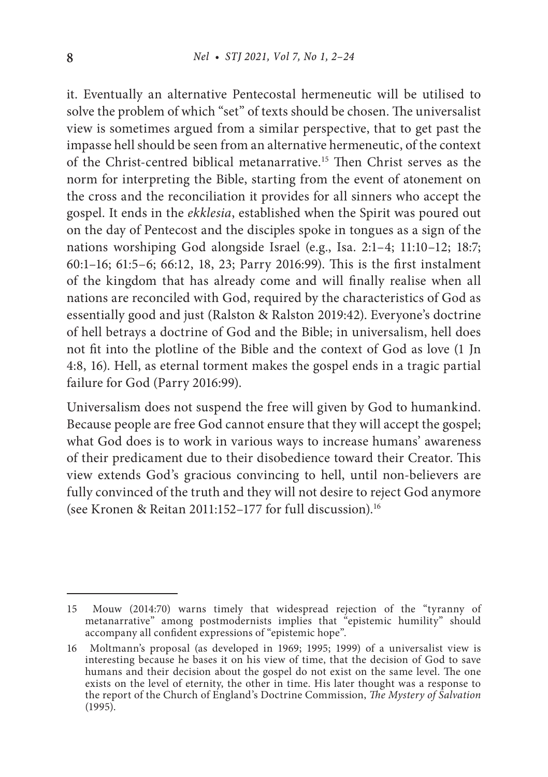it. Eventually an alternative Pentecostal hermeneutic will be utilised to solve the problem of which "set" of texts should be chosen. The universalist view is sometimes argued from a similar perspective, that to get past the impasse hell should be seen from an alternative hermeneutic, of the context of the Christ-centred biblical metanarrative.<sup>15</sup> Then Christ serves as the norm for interpreting the Bible, starting from the event of atonement on the cross and the reconciliation it provides for all sinners who accept the gospel. It ends in the *ekklesia*, established when the Spirit was poured out on the day of Pentecost and the disciples spoke in tongues as a sign of the nations worshiping God alongside Israel (e.g., Isa. 2:1–4; 11:10–12; 18:7; 60:1-16; 61:5-6; 66:12, 18, 23; Parry 2016:99). This is the first instalment of the kingdom that has already come and will finally realise when all nations are reconciled with God, required by the characteristics of God as essentially good and just (Ralston & Ralston 2019:42). Everyone's doctrine of hell betrays a doctrine of God and the Bible; in universalism, hell does not fit into the plotline of the Bible and the context of God as love (1 Jn 4:8, 16). Hell, as eternal torment makes the gospel ends in a tragic partial failure for God (Parry 2016:99).

Universalism does not suspend the free will given by God to humankind. Because people are free God cannot ensure that they will accept the gospel; what God does is to work in various ways to increase humans' awareness of their predicament due to their disobedience toward their Creator. This view extends God's gracious convincing to hell, until non-believers are fully convinced of the truth and they will not desire to reject God anymore (see Kronen & Reitan 2011:152–177 for full discussion).16

<sup>15</sup> Mouw (2014:70) warns timely that widespread rejection of the "tyranny of metanarrative" among postmodernists implies that "epistemic humility" should accompany all confident expressions of "epistemic hope".

<sup>16</sup> Moltmann's proposal (as developed in 1969; 1995; 1999) of a universalist view is interesting because he bases it on his view of time, that the decision of God to save humans and their decision about the gospel do not exist on the same level. The one exists on the level of eternity, the other in time. His later thought was a response to the report of the Church of England's Doctrine Commission, *The Mystery of Salvation* (1995).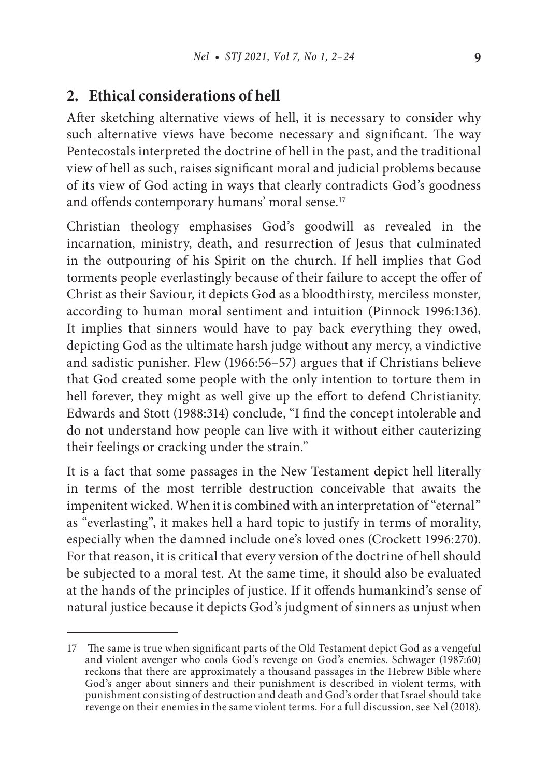# **2. Ethical considerations of hell**

After sketching alternative views of hell, it is necessary to consider why such alternative views have become necessary and significant. The way Pentecostals interpreted the doctrine of hell in the past, and the traditional view of hell as such, raises signicant moral and judicial problems because of its view of God acting in ways that clearly contradicts God's goodness and offends contemporary humans' moral sense.<sup>17</sup>

Christian theology emphasises God's goodwill as revealed in the incarnation, ministry, death, and resurrection of Jesus that culminated in the outpouring of his Spirit on the church. If hell implies that God torments people everlastingly because of their failure to accept the offer of Christ as their Saviour, it depicts God as a bloodthirsty, merciless monster, according to human moral sentiment and intuition (Pinnock 1996:136). It implies that sinners would have to pay back everything they owed, depicting God as the ultimate harsh judge without any mercy, a vindictive and sadistic punisher. Flew (1966:56–57) argues that if Christians believe that God created some people with the only intention to torture them in hell forever, they might as well give up the effort to defend Christianity. Edwards and Stott (1988:314) conclude, "I find the concept intolerable and do not understand how people can live with it without either cauterizing their feelings or cracking under the strain."

It is a fact that some passages in the New Testament depict hell literally in terms of the most terrible destruction conceivable that awaits the impenitent wicked. When it is combined with an interpretation of "eternal" as "everlasting", it makes hell a hard topic to justify in terms of morality, especially when the damned include one's loved ones (Crockett 1996:270). For that reason, it is critical that every version of the doctrine of hell should be subjected to a moral test. At the same time, it should also be evaluated at the hands of the principles of justice. If it offends humankind's sense of natural justice because it depicts God's judgment of sinners as unjust when

<sup>17</sup> The same is true when significant parts of the Old Testament depict God as a vengeful and violent avenger who cools God's revenge on God's enemies. Schwager (1987:60) reckons that there are approximately a thousand passages in the Hebrew Bible where God's anger about sinners and their punishment is described in violent terms, with punishment consisting of destruction and death and God's order that Israel should take revenge on their enemies in the same violent terms. For a full discussion, see Nel (2018).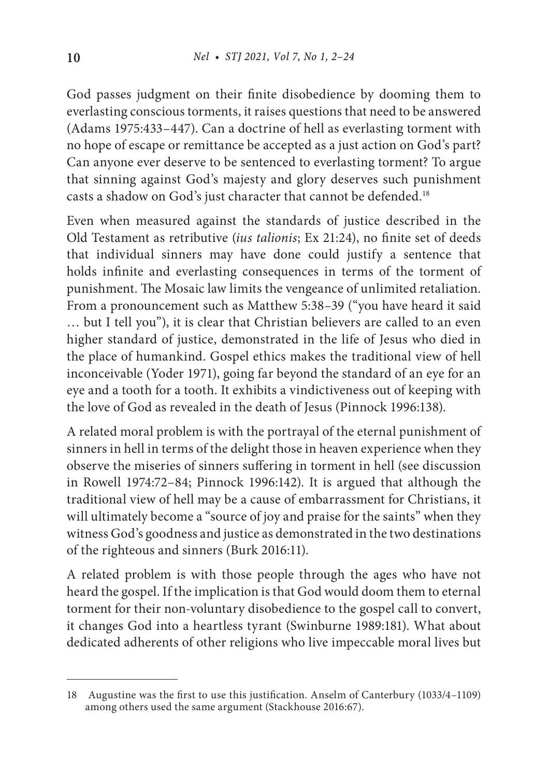God passes judgment on their finite disobedience by dooming them to everlasting conscious torments, it raises questions that need to be answered (Adams 1975:433–447). Can a doctrine of hell as everlasting torment with no hope of escape or remittance be accepted as a just action on God's part? Can anyone ever deserve to be sentenced to everlasting torment? To argue that sinning against God's majesty and glory deserves such punishment casts a shadow on God's just character that cannot be defended.18

Even when measured against the standards of justice described in the Old Testament as retributive (*ius talionis*; Ex 21:24), no finite set of deeds that individual sinners may have done could justify a sentence that holds infinite and everlasting consequences in terms of the torment of punishment. The Mosaic law limits the vengeance of unlimited retaliation. From a pronouncement such as Matthew 5:38–39 ("you have heard it said … but I tell you"), it is clear that Christian believers are called to an even higher standard of justice, demonstrated in the life of Jesus who died in the place of humankind. Gospel ethics makes the traditional view of hell inconceivable (Yoder 1971), going far beyond the standard of an eye for an eye and a tooth for a tooth. It exhibits a vindictiveness out of keeping with the love of God as revealed in the death of Jesus (Pinnock 1996:138).

A related moral problem is with the portrayal of the eternal punishment of sinners in hell in terms of the delight those in heaven experience when they observe the miseries of sinners suffering in torment in hell (see discussion in Rowell 1974:72–84; Pinnock 1996:142). It is argued that although the traditional view of hell may be a cause of embarrassment for Christians, it will ultimately become a "source of joy and praise for the saints" when they witness God's goodness and justice as demonstrated in the two destinations of the righteous and sinners (Burk 2016:11).

A related problem is with those people through the ages who have not heard the gospel. If the implication is that God would doom them to eternal torment for their non-voluntary disobedience to the gospel call to convert, it changes God into a heartless tyrant (Swinburne 1989:181). What about dedicated adherents of other religions who live impeccable moral lives but

<sup>18</sup> Augustine was the first to use this justification. Anselm of Canterbury (1033/4-1109) among others used the same argument (Stackhouse 2016:67).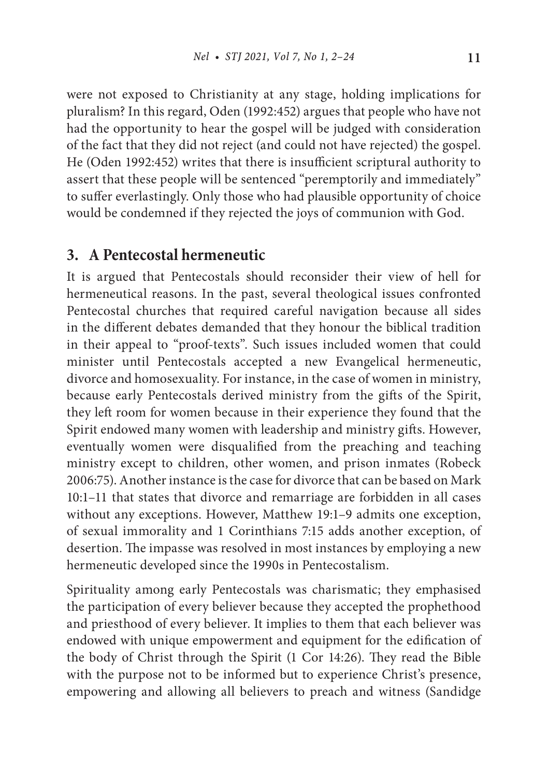were not exposed to Christianity at any stage, holding implications for pluralism? In this regard, Oden (1992:452) argues that people who have not had the opportunity to hear the gospel will be judged with consideration of the fact that they did not reject (and could not have rejected) the gospel. He (Oden 1992:452) writes that there is insufficient scriptural authority to assert that these people will be sentenced "peremptorily and immediately" to suffer everlastingly. Only those who had plausible opportunity of choice would be condemned if they rejected the joys of communion with God.

### **3. A Pentecostal hermeneutic**

It is argued that Pentecostals should reconsider their view of hell for hermeneutical reasons. In the past, several theological issues confronted Pentecostal churches that required careful navigation because all sides in the different debates demanded that they honour the biblical tradition in their appeal to "proof-texts". Such issues included women that could minister until Pentecostals accepted a new Evangelical hermeneutic, divorce and homosexuality. For instance, in the case of women in ministry, because early Pentecostals derived ministry from the gifts of the Spirit, they left room for women because in their experience they found that the Spirit endowed many women with leadership and ministry gifts. However, eventually women were disqualified from the preaching and teaching ministry except to children, other women, and prison inmates (Robeck 2006:75). Another instance is the case for divorce that can be based on Mark 10:1–11 that states that divorce and remarriage are forbidden in all cases without any exceptions. However, Matthew 19:1–9 admits one exception, of sexual immorality and 1 Corinthians 7:15 adds another exception, of desertion. The impasse was resolved in most instances by employing a new hermeneutic developed since the 1990s in Pentecostalism.

Spirituality among early Pentecostals was charismatic; they emphasised the participation of every believer because they accepted the prophethood and priesthood of every believer. It implies to them that each believer was endowed with unique empowerment and equipment for the edification of the body of Christ through the Spirit (1 Cor 14:26). They read the Bible with the purpose not to be informed but to experience Christ's presence, empowering and allowing all believers to preach and witness (Sandidge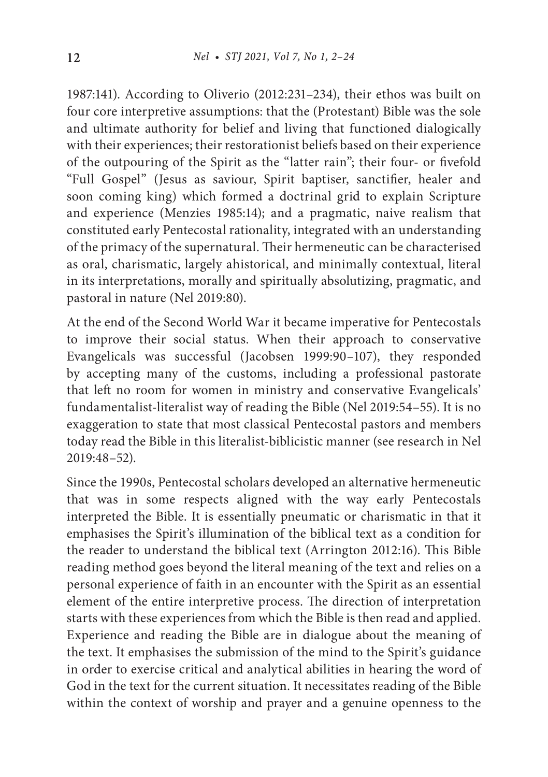1987:141). According to Oliverio (2012:231–234), their ethos was built on four core interpretive assumptions: that the (Protestant) Bible was the sole and ultimate authority for belief and living that functioned dialogically with their experiences; their restorationist beliefs based on their experience of the outpouring of the Spirit as the "latter rain"; their four- or fivefold "Full Gospel" (Jesus as saviour, Spirit baptiser, sanctifier, healer and soon coming king) which formed a doctrinal grid to explain Scripture and experience (Menzies 1985:14); and a pragmatic, naive realism that constituted early Pentecostal rationality, integrated with an understanding of the primacy of the supernatural. Their hermeneutic can be characterised as oral, charismatic, largely ahistorical, and minimally contextual, literal in its interpretations, morally and spiritually absolutizing, pragmatic, and pastoral in nature (Nel 2019:80).

At the end of the Second World War it became imperative for Pentecostals to improve their social status. When their approach to conservative Evangelicals was successful (Jacobsen 1999:90–107), they responded by accepting many of the customs, including a professional pastorate that left no room for women in ministry and conservative Evangelicals' fundamentalist-literalist way of reading the Bible (Nel 2019:54–55). It is no exaggeration to state that most classical Pentecostal pastors and members today read the Bible in this literalist-biblicistic manner (see research in Nel 2019:48–52).

Since the 1990s, Pentecostal scholars developed an alternative hermeneutic that was in some respects aligned with the way early Pentecostals interpreted the Bible. It is essentially pneumatic or charismatic in that it emphasises the Spirit's illumination of the biblical text as a condition for the reader to understand the biblical text (Arrington 2012:16). This Bible reading method goes beyond the literal meaning of the text and relies on a personal experience of faith in an encounter with the Spirit as an essential element of the entire interpretive process. The direction of interpretation starts with these experiences from which the Bible is then read and applied. Experience and reading the Bible are in dialogue about the meaning of the text. It emphasises the submission of the mind to the Spirit's guidance in order to exercise critical and analytical abilities in hearing the word of God in the text for the current situation. It necessitates reading of the Bible within the context of worship and prayer and a genuine openness to the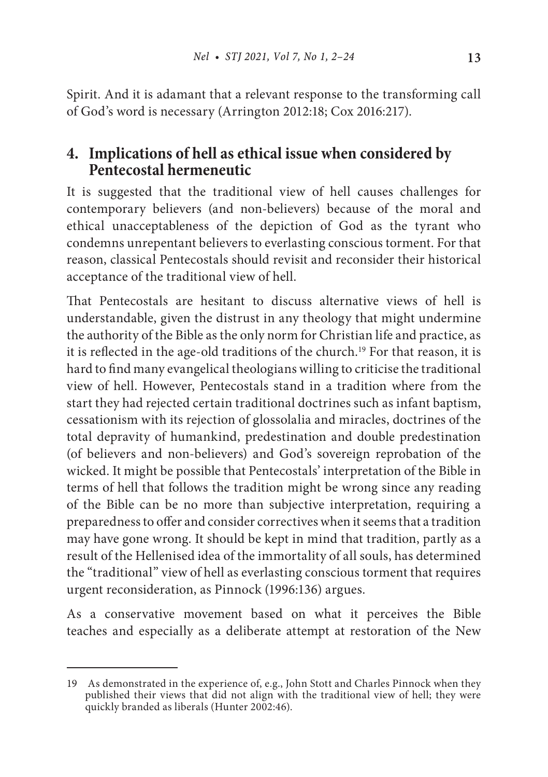Spirit. And it is adamant that a relevant response to the transforming call of God's word is necessary (Arrington 2012:18; Cox 2016:217).

# **4. Implications of hell as ethical issue when considered by Pentecostal hermeneutic**

It is suggested that the traditional view of hell causes challenges for contemporary believers (and non-believers) because of the moral and ethical unacceptableness of the depiction of God as the tyrant who condemns unrepentant believers to everlasting conscious torment. For that reason, classical Pentecostals should revisit and reconsider their historical acceptance of the traditional view of hell.

That Pentecostals are hesitant to discuss alternative views of hell is understandable, given the distrust in any theology that might undermine the authority of the Bible as the only norm for Christian life and practice, as it is reflected in the age-old traditions of the church.<sup>19</sup> For that reason, it is hard to find many evangelical theologians willing to criticise the traditional view of hell. However, Pentecostals stand in a tradition where from the start they had rejected certain traditional doctrines such as infant baptism, cessationism with its rejection of glossolalia and miracles, doctrines of the total depravity of humankind, predestination and double predestination (of believers and non-believers) and God's sovereign reprobation of the wicked. It might be possible that Pentecostals' interpretation of the Bible in terms of hell that follows the tradition might be wrong since any reading of the Bible can be no more than subjective interpretation, requiring a preparedness to offer and consider correctives when it seems that a tradition may have gone wrong. It should be kept in mind that tradition, partly as a result of the Hellenised idea of the immortality of all souls, has determined the "traditional" view of hell as everlasting conscious torment that requires urgent reconsideration, as Pinnock (1996:136) argues.

As a conservative movement based on what it perceives the Bible teaches and especially as a deliberate attempt at restoration of the New

<sup>19</sup> As demonstrated in the experience of, e.g., John Stott and Charles Pinnock when they published their views that did not align with the traditional view of hell; they were quickly branded as liberals (Hunter 2002:46).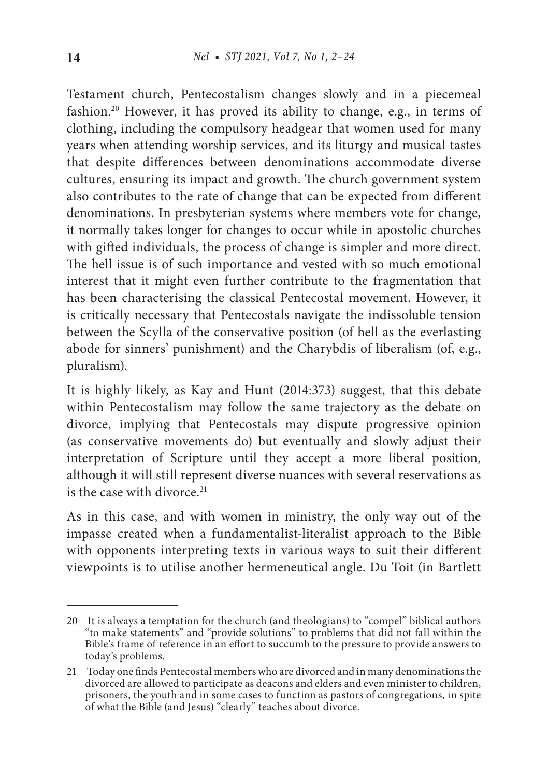Testament church, Pentecostalism changes slowly and in a piecemeal fashion.20 However, it has proved its ability to change, e.g., in terms of clothing, including the compulsory headgear that women used for many years when attending worship services, and its liturgy and musical tastes that despite differences between denominations accommodate diverse cultures, ensuring its impact and growth. The church government system also contributes to the rate of change that can be expected from different denominations. In presbyterian systems where members vote for change, it normally takes longer for changes to occur while in apostolic churches with gifted individuals, the process of change is simpler and more direct. The hell issue is of such importance and vested with so much emotional interest that it might even further contribute to the fragmentation that has been characterising the classical Pentecostal movement. However, it is critically necessary that Pentecostals navigate the indissoluble tension between the Scylla of the conservative position (of hell as the everlasting abode for sinners' punishment) and the Charybdis of liberalism (of, e.g., pluralism).

It is highly likely, as Kay and Hunt (2014:373) suggest, that this debate within Pentecostalism may follow the same trajectory as the debate on divorce, implying that Pentecostals may dispute progressive opinion (as conservative movements do) but eventually and slowly adjust their interpretation of Scripture until they accept a more liberal position, although it will still represent diverse nuances with several reservations as is the case with divorce  $21$ 

As in this case, and with women in ministry, the only way out of the impasse created when a fundamentalist-literalist approach to the Bible with opponents interpreting texts in various ways to suit their different viewpoints is to utilise another hermeneutical angle. Du Toit (in Bartlett

<sup>20</sup> It is always a temptation for the church (and theologians) to "compel" biblical authors "to make statements" and "provide solutions" to problems that did not fall within the Bible's frame of reference in an effort to succumb to the pressure to provide answers to today's problems.

<sup>21</sup> Today one finds Pentecostal members who are divorced and in many denominations the divorced are allowed to participate as deacons and elders and even minister to children, prisoners, the youth and in some cases to function as pastors of congregations, in spite of what the Bible (and Jesus) "clearly" teaches about divorce.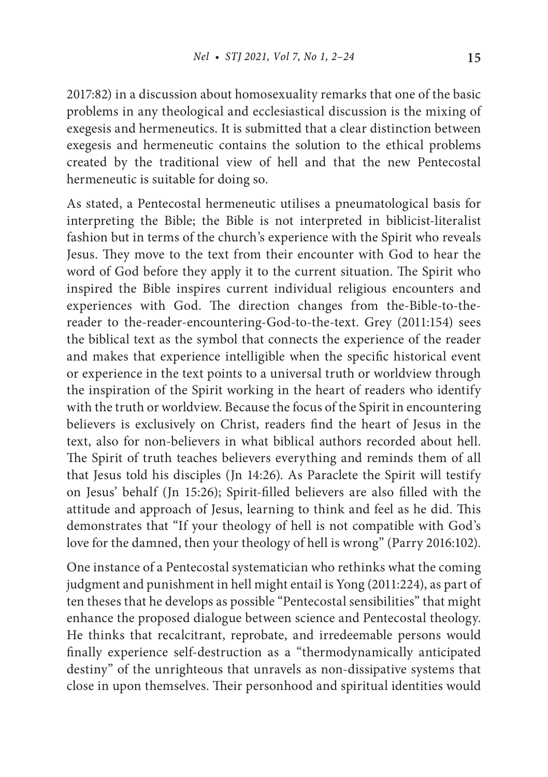2017:82) in a discussion about homosexuality remarks that one of the basic problems in any theological and ecclesiastical discussion is the mixing of exegesis and hermeneutics. It is submitted that a clear distinction between exegesis and hermeneutic contains the solution to the ethical problems created by the traditional view of hell and that the new Pentecostal hermeneutic is suitable for doing so.

As stated, a Pentecostal hermeneutic utilises a pneumatological basis for interpreting the Bible; the Bible is not interpreted in biblicist-literalist fashion but in terms of the church's experience with the Spirit who reveals Jesus. They move to the text from their encounter with God to hear the word of God before they apply it to the current situation. The Spirit who inspired the Bible inspires current individual religious encounters and experiences with God. The direction changes from the-Bible-to-thereader to the-reader-encountering-God-to-the-text. Grey (2011:154) sees the biblical text as the symbol that connects the experience of the reader and makes that experience intelligible when the specific historical event or experience in the text points to a universal truth or worldview through the inspiration of the Spirit working in the heart of readers who identify with the truth or worldview. Because the focus of the Spirit in encountering believers is exclusively on Christ, readers find the heart of Jesus in the text, also for non-believers in what biblical authors recorded about hell. The Spirit of truth teaches believers everything and reminds them of all that Jesus told his disciples (Jn 14:26). As Paraclete the Spirit will testify on Jesus' behalf (Jn 15:26); Spirit-filled believers are also filled with the attitude and approach of Jesus, learning to think and feel as he did. This demonstrates that "If your theology of hell is not compatible with God's love for the damned, then your theology of hell is wrong" (Parry 2016:102).

One instance of a Pentecostal systematician who rethinks what the coming judgment and punishment in hell might entail is Yong (2011:224), as part of ten theses that he develops as possible "Pentecostal sensibilities" that might enhance the proposed dialogue between science and Pentecostal theology. He thinks that recalcitrant, reprobate, and irredeemable persons would nally experience self-destruction as a "thermodynamically anticipated destiny" of the unrighteous that unravels as non-dissipative systems that close in upon themselves. Their personhood and spiritual identities would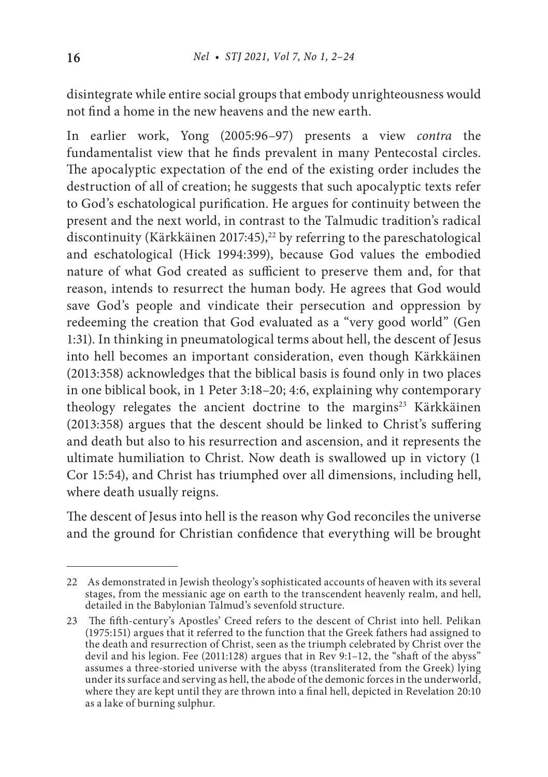disintegrate while entire social groups that embody unrighteousness would not nd a home in the new heavens and the new earth.

In earlier work, Yong (2005:96–97) presents a view *contra* the fundamentalist view that he finds prevalent in many Pentecostal circles. The apocalyptic expectation of the end of the existing order includes the destruction of all of creation; he suggests that such apocalyptic texts refer to God's eschatological purification. He argues for continuity between the present and the next world, in contrast to the Talmudic tradition's radical discontinuity (Kärkkäinen 2017:45),<sup>22</sup> by referring to the pareschatological and eschatological (Hick 1994:399), because God values the embodied nature of what God created as sufficient to preserve them and, for that reason, intends to resurrect the human body. He agrees that God would save God's people and vindicate their persecution and oppression by redeeming the creation that God evaluated as a "very good world" (Gen 1:31). In thinking in pneumatological terms about hell, the descent of Jesus into hell becomes an important consideration, even though Kärkkäinen (2013:358) acknowledges that the biblical basis is found only in two places in one biblical book, in 1 Peter 3:18–20; 4:6, explaining why contemporary theology relegates the ancient doctrine to the margins<sup>23</sup> Kärkkäinen (2013:358) argues that the descent should be linked to Christ's suffering and death but also to his resurrection and ascension, and it represents the ultimate humiliation to Christ. Now death is swallowed up in victory (1 Cor 15:54), and Christ has triumphed over all dimensions, including hell, where death usually reigns.

The descent of Jesus into hell is the reason why God reconciles the universe and the ground for Christian confidence that everything will be brought

<sup>22</sup> As demonstrated in Jewish theology's sophisticated accounts of heaven with its several stages, from the messianic age on earth to the transcendent heavenly realm, and hell, detailed in the Babylonian Talmud's sevenfold structure.

<sup>23</sup> The fifth-century's Apostles' Creed refers to the descent of Christ into hell. Pelikan (1975:151) argues that it referred to the function that the Greek fathers had assigned to the death and resurrection of Christ, seen as the triumph celebrated by Christ over the devil and his legion. Fee (2011:128) argues that in Rev 9:1-12, the "shaft of the abyss" assumes a three-storied universe with the abyss (transliterated from the Greek) lying under its surface and serving as hell, the abode of the demonic forces in the underworld, where they are kept until they are thrown into a final hell, depicted in Revelation 20:10 as a lake of burning sulphur.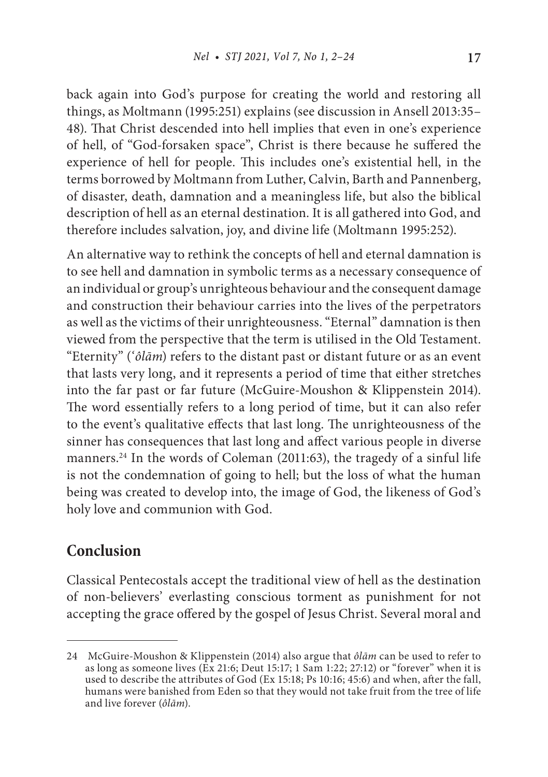back again into God's purpose for creating the world and restoring all things, as Moltmann (1995:251) explains (see discussion in Ansell 2013:35– 48). That Christ descended into hell implies that even in one's experience of hell, of "God-forsaken space", Christ is there because he suffered the experience of hell for people. This includes one's existential hell, in the terms borrowed by Moltmann from Luther, Calvin, Barth and Pannenberg, of disaster, death, damnation and a meaningless life, but also the biblical description of hell as an eternal destination. It is all gathered into God, and therefore includes salvation, joy, and divine life (Moltmann 1995:252).

An alternative way to rethink the concepts of hell and eternal damnation is to see hell and damnation in symbolic terms as a necessary consequence of an individual or group's unrighteous behaviour and the consequent damage and construction their behaviour carries into the lives of the perpetrators as well as the victims of their unrighteousness. "Eternal" damnation is then viewed from the perspective that the term is utilised in the Old Testament. "Eternity" (*'ôlām*) refers to the distant past or distant future or as an event that lasts very long, and it represents a period of time that either stretches into the far past or far future (McGuire-Moushon & Klippenstein 2014). The word essentially refers to a long period of time, but it can also refer to the event's qualitative effects that last long. The unrighteousness of the sinner has consequences that last long and affect various people in diverse manners.24 In the words of Coleman (2011:63), the tragedy of a sinful life is not the condemnation of going to hell; but the loss of what the human being was created to develop into, the image of God, the likeness of God's holy love and communion with God.

### **Conclusion**

Classical Pentecostals accept the traditional view of hell as the destination of non-believers' everlasting conscious torment as punishment for not accepting the grace offered by the gospel of Jesus Christ. Several moral and

<sup>24</sup> McGuire-Moushon & Klippenstein (2014) also argue that *ôlām* can be used to refer to as long as someone lives (Ex 21:6; Deut 15:17; 1 Sam 1:22; 27:12) or "forever" when it is used to describe the attributes of God (Ex 15:18; Ps 10:16; 45:6) and when, after the fall, humans were banished from Eden so that they would not take fruit from the tree of life and live forever (*ôlām*).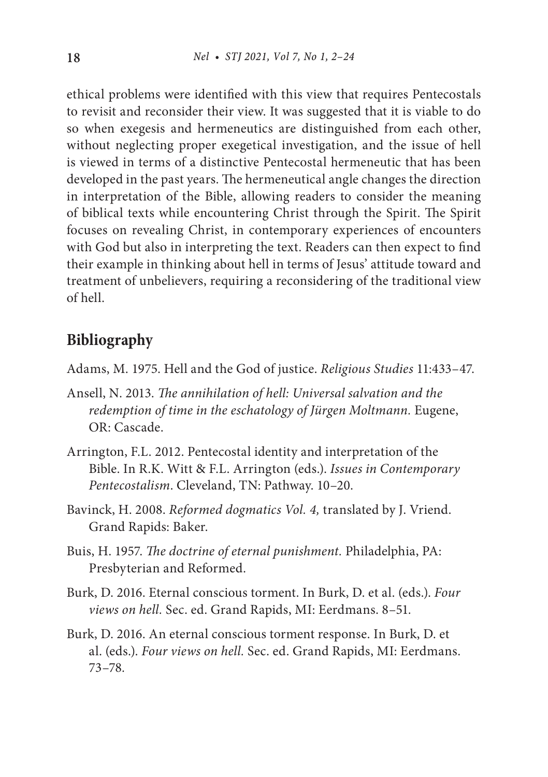ethical problems were identified with this view that requires Pentecostals to revisit and reconsider their view. It was suggested that it is viable to do so when exegesis and hermeneutics are distinguished from each other, without neglecting proper exegetical investigation, and the issue of hell is viewed in terms of a distinctive Pentecostal hermeneutic that has been developed in the past years. The hermeneutical angle changes the direction in interpretation of the Bible, allowing readers to consider the meaning of biblical texts while encountering Christ through the Spirit. The Spirit focuses on revealing Christ, in contemporary experiences of encounters with God but also in interpreting the text. Readers can then expect to find their example in thinking about hell in terms of Jesus' attitude toward and treatment of unbelievers, requiring a reconsidering of the traditional view of hell.

# **Bibliography**

Adams, M. 1975. Hell and the God of justice. *Religious Studies* 11:433–47.

- Ansell, N. 2013. *The annihilation of hell: Universal salvation and the redemption of time in the eschatology of Jürgen Moltmann.* Eugene, OR: Cascade.
- Arrington, F.L. 2012. Pentecostal identity and interpretation of the Bible. In R.K. Witt & F.L. Arrington (eds.). *Issues in Contemporary Pentecostalism*. Cleveland, TN: Pathway. 10–20.
- Bavinck, H. 2008. *Reformed dogmatics Vol. 4,* translated by J. Vriend. Grand Rapids: Baker.
- Buis, H. 1957. *The doctrine of eternal punishment*. Philadelphia, PA: Presbyterian and Reformed.
- Burk, D. 2016. Eternal conscious torment. In Burk, D. et al. (eds.). *Four views on hell.* Sec. ed. Grand Rapids, MI: Eerdmans. 8–51*.*
- Burk, D. 2016. An eternal conscious torment response. In Burk, D. et al. (eds.). *Four views on hell.* Sec. ed. Grand Rapids, MI: Eerdmans. 73–78*.*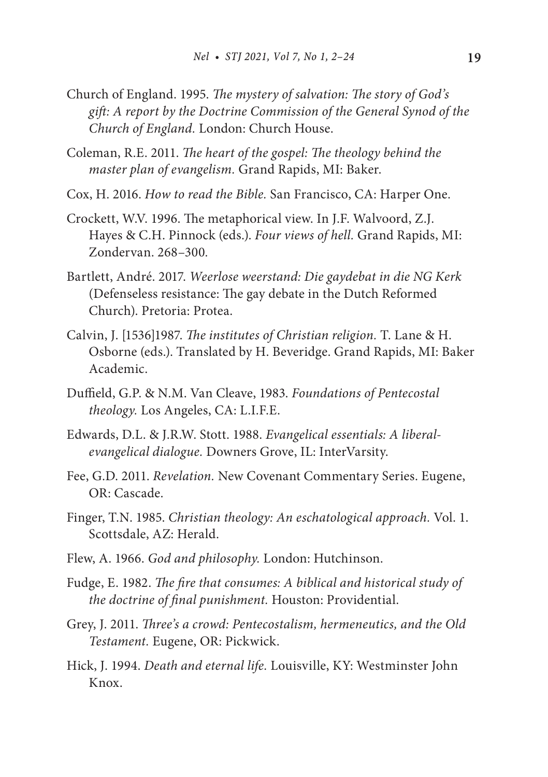- Church of England. 1995. *The mystery of salvation: The story of God's gi: A report by the Doctrine Commission of the General Synod of the Church of England.* London: Church House.
- Coleman, R.E. 2011. *The heart of the gospel: The theology behind the master plan of evangelism.* Grand Rapids, MI: Baker.
- Cox, H. 2016. *How to read the Bible.* San Francisco, CA: Harper One.
- Crockett, W.V. 1996. The metaphorical view. In J.F. Walvoord, Z.J. Hayes & C.H. Pinnock (eds.). *Four views of hell.* Grand Rapids, MI: Zondervan. 268–300*.*
- Bartlett, André. 2017. *Weerlose weerstand: Die gaydebat in die NG Kerk*  (Defenseless resistance: The gay debate in the Dutch Reformed Church). Pretoria: Protea.
- Calvin, J. [1536]1987. *The institutes of Christian religion*. T. Lane & H. Osborne (eds.). Translated by H. Beveridge. Grand Rapids, MI: Baker Academic.
- Duffield, G.P. & N.M. Van Cleave, 1983. Foundations of Pentecostal *theology.* Los Angeles, CA: L.I.F.E.
- Edwards, D.L. & J.R.W. Stott. 1988. *Evangelical essentials: A liberalevangelical dialogue.* Downers Grove, IL: InterVarsity.
- Fee, G.D. 2011. *Revelation.* New Covenant Commentary Series. Eugene, OR: Cascade.
- Finger, T.N. 1985. *Christian theology: An eschatological approach.* Vol. 1. Scottsdale, AZ: Herald.
- Flew, A. 1966. *God and philosophy.* London: Hutchinson.
- Fudge, E. 1982. *The fire that consumes: A biblical and historical study of the doctrine of nal punishment.* Houston: Providential.
- Grev, I. 2011. *Three's a crowd: Pentecostalism, hermeneutics, and the Old Testament.* Eugene, OR: Pickwick.
- Hick, J. 1994. *Death and eternal life.* Louisville, KY: Westminster John Knox.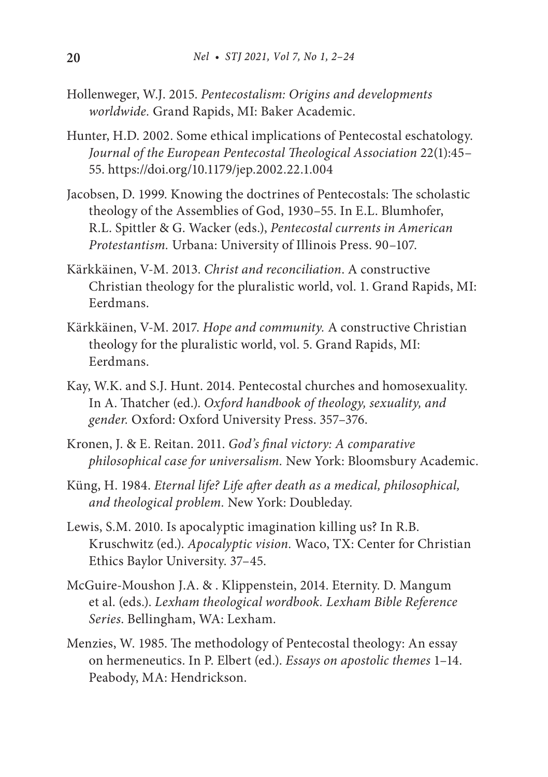- Hollenweger, W.J. 2015. *Pentecostalism: Origins and developments worldwide.* Grand Rapids, MI: Baker Academic.
- Hunter, H.D. 2002. Some ethical implications of Pentecostal eschatology. Journal of the European Pentecostal Theological Association 22(1):45-55. https://doi.org/10.1179/jep.2002.22.1.004
- Jacobsen, D. 1999. Knowing the doctrines of Pentecostals: The scholastic theology of the Assemblies of God, 1930–55. In E.L. Blumhofer, R.L. Spittler & G. Wacker (eds.), *Pentecostal currents in American Protestantism.* Urbana: University of Illinois Press. 90–107.
- Kärkkäinen, V-M. 2013. *Christ and reconciliation*. A constructive Christian theology for the pluralistic world, vol. 1. Grand Rapids, MI: Eerdmans.
- Kärkkäinen, V-M. 2017. *Hope and community.* A constructive Christian theology for the pluralistic world, vol. 5. Grand Rapids, MI: Eerdmans.
- Kay, W.K. and S.J. Hunt. 2014. Pentecostal churches and homosexuality. In A. Thatcher (ed.). *Oxford handbook of theology, sexuality, and gender.* Oxford: Oxford University Press. 357–376.
- Kronen, J. & E. Reitan. 2011. *God's final victory: A comparative philosophical case for universalism.* New York: Bloomsbury Academic.
- Küng, H. 1984. *Eternal life? Life after death as a medical, philosophical, and theological problem.* New York: Doubleday.
- Lewis, S.M. 2010. Is apocalyptic imagination killing us? In R.B. Kruschwitz (ed.). *Apocalyptic vision.* Waco, TX: Center for Christian Ethics Baylor University. 37–45.
- McGuire-Moushon J.A. & . Klippenstein, 2014. Eternity. D. Mangum et al. (eds.). *Lexham theological wordbook. Lexham Bible Reference Series*. Bellingham, WA: Lexham.
- Menzies, W. 1985. The methodology of Pentecostal theology: An essay on hermeneutics. In P. Elbert (ed.). *Essays on apostolic themes* 1–14. Peabody, MA: Hendrickson.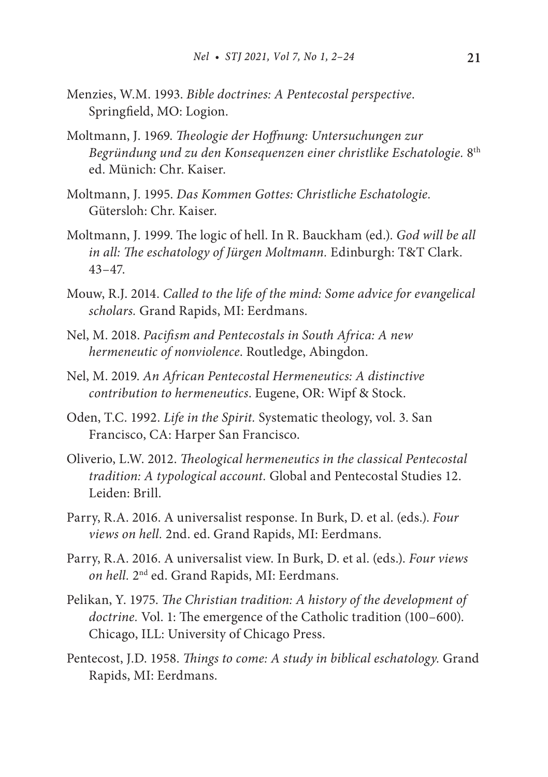- Menzies, W.M. 1993. *Bible doctrines: A Pentecostal perspective*. Springfield, MO: Logion.
- Moltmann, J. 1969. *Theologie der Hoffnung: Untersuchungen zur Begründung und zu den Konsequenzen einer christlike Eschatologie.* 8th ed. Münich: Chr. Kaiser.
- Moltmann, J. 1995. *Das Kommen Gottes: Christliche Eschatologie.* Gütersloh: Chr. Kaiser.
- Moltmann, J. 1999. The logic of hell. In R. Bauckham (ed.). *God will be all in all: The eschatology of Jürgen Moltmann.* Edinburgh: T&T Clark. 43–47.
- Mouw, R.J. 2014. *Called to the life of the mind: Some advice for evangelical scholars.* Grand Rapids, MI: Eerdmans.
- Nel, M. 2018. *Pacism and Pentecostals in South Africa: A new hermeneutic of nonviolence*. Routledge, Abingdon.
- Nel, M. 2019. *An African Pentecostal Hermeneutics: A distinctive contribution to hermeneutics*. Eugene, OR: Wipf & Stock.
- Oden, T.C. 1992. *Life in the Spirit.* Systematic theology, vol. 3. San Francisco, CA: Harper San Francisco.
- Oliverio, L.W. 2012. *Theological hermeneutics in the classical Pentecostal tradition: A typological account.* Global and Pentecostal Studies 12. Leiden: Brill.
- Parry, R.A. 2016. A universalist response. In Burk, D. et al. (eds.). *Four views on hell.* 2nd. ed. Grand Rapids, MI: Eerdmans.
- Parry, R.A. 2016. A universalist view. In Burk, D. et al. (eds.). *Four views on hell.* 2nd ed. Grand Rapids, MI: Eerdmans.
- Pelikan, Y. 1975. *The Christian tradition: A history of the development of doctrine.* Vol. 1: The emergence of the Catholic tradition (100-600). Chicago, ILL: University of Chicago Press.
- Pentecost, J.D. 1958. *Things to come: A study in biblical eschatology*. Grand Rapids, MI: Eerdmans.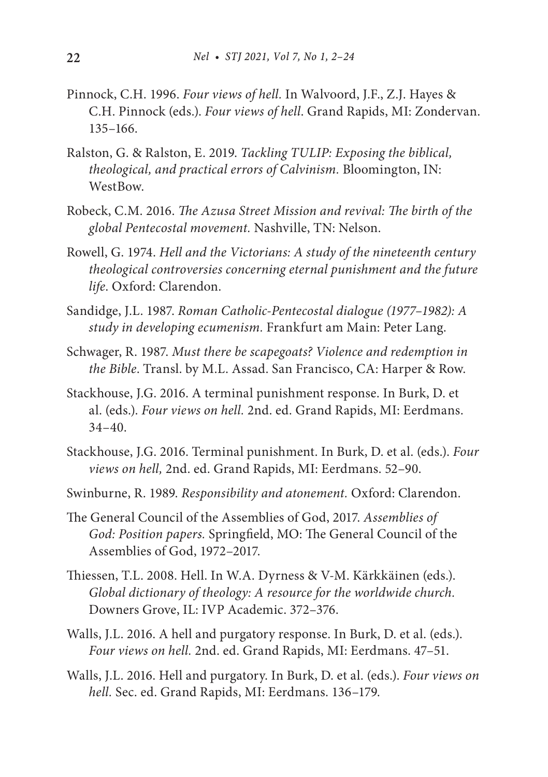- Pinnock, C.H. 1996. *Four views of hell.* In Walvoord, J.F., Z.J. Hayes & C.H. Pinnock (eds.). *Four views of hell*. Grand Rapids, MI: Zondervan. 135–166.
- Ralston, G. & Ralston, E. 2019. *Tackling TULIP: Exposing the biblical, theological, and practical errors of Calvinism.* Bloomington, IN: WestBow.
- Robeck, C.M. 2016. *The Azusa Street Mission and revival: The birth of the global Pentecostal movement.* Nashville, TN: Nelson.
- Rowell, G. 1974. *Hell and the Victorians: A study of the nineteenth century theological controversies concerning eternal punishment and the future life*. Oxford: Clarendon.
- Sandidge, J.L. 1987. *Roman Catholic-Pentecostal dialogue (1977–1982): A study in developing ecumenism.* Frankfurt am Main: Peter Lang.
- Schwager, R. 1987. *Must there be scapegoats? Violence and redemption in the Bible*. Transl. by M.L. Assad. San Francisco, CA: Harper & Row.
- Stackhouse, J.G. 2016. A terminal punishment response. In Burk, D. et al. (eds.). *Four views on hell.* 2nd. ed. Grand Rapids, MI: Eerdmans.  $34 - 40$
- Stackhouse, J.G. 2016. Terminal punishment. In Burk, D. et al. (eds.). *Four views on hell,* 2nd. ed. Grand Rapids, MI: Eerdmans. 52–90.
- Swinburne, R. 1989. *Responsibility and atonement.* Oxford: Clarendon.
- e General Council of the Assemblies of God, 2017. *Assemblies of*  God: Position papers. Springfield, MO: The General Council of the Assemblies of God, 1972–2017.
- Thiessen, T.L. 2008. Hell. In W.A. Dyrness & V-M. Kärkkäinen (eds.). *Global dictionary of theology: A resource for the worldwide church.* Downers Grove, IL: IVP Academic. 372–376.
- Walls, J.L. 2016. A hell and purgatory response. In Burk, D. et al. (eds.). *Four views on hell.* 2nd. ed. Grand Rapids, MI: Eerdmans. 47–51.
- Walls, J.L. 2016. Hell and purgatory. In Burk, D. et al. (eds.). *Four views on hell.* Sec. ed. Grand Rapids, MI: Eerdmans. 136–179.